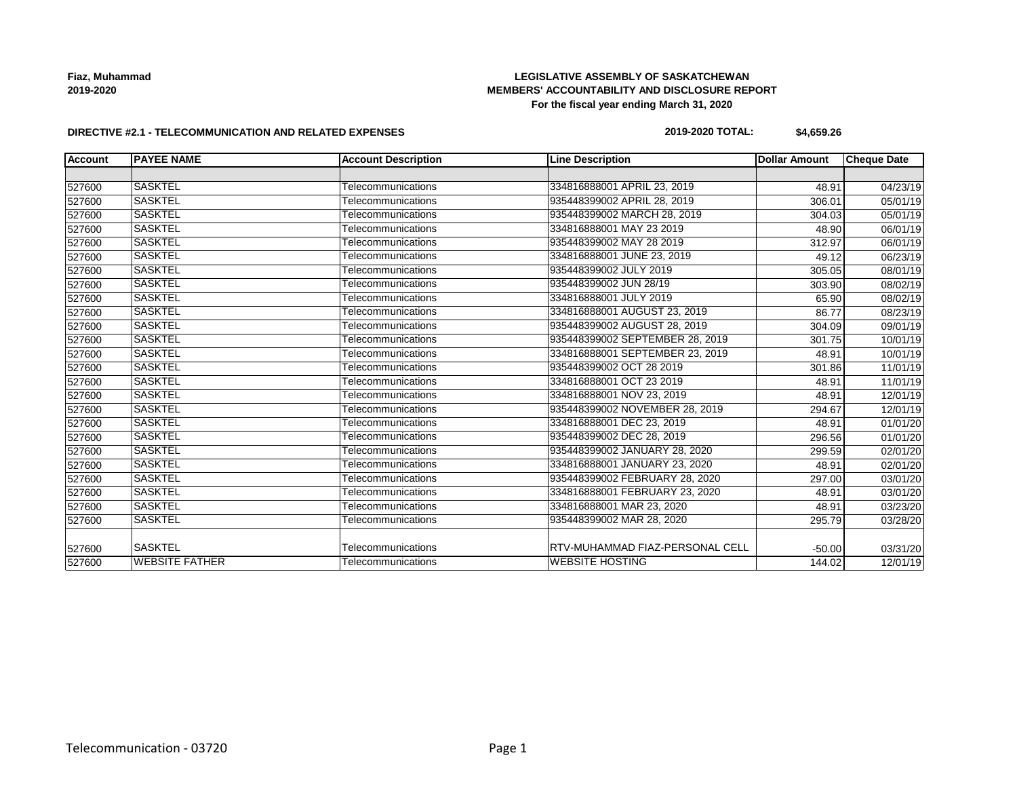**Fiaz, Muhammad 2019-2020**

## **LEGISLATIVE ASSEMBLY OF SASKATCHEWAN MEMBERS' ACCOUNTABILITY AND DISCLOSURE REPORT For the fiscal year ending March 31, 2020**

#### **DIRECTIVE #2.1 - TELECOMMUNICATION AND RELATED EXPENSES**

## **2019-2020 TOTAL: \$4,659.26**

| <b>Account</b> | <b>PAYEE NAME</b>     | <b>Account Description</b> | <b>Line Description</b>         | <b>Dollar Amount</b> | <b>Cheque Date</b> |
|----------------|-----------------------|----------------------------|---------------------------------|----------------------|--------------------|
|                |                       |                            |                                 |                      |                    |
| 527600         | <b>SASKTEL</b>        | Telecommunications         | 334816888001 APRIL 23, 2019     | 48.91                | 04/23/19           |
| 527600         | <b>SASKTEL</b>        | Telecommunications         | 935448399002 APRIL 28, 2019     | 306.01               | 05/01/19           |
| 527600         | <b>SASKTEL</b>        | Telecommunications         | 935448399002 MARCH 28, 2019     | 304.03               | 05/01/19           |
| 527600         | <b>SASKTEL</b>        | Telecommunications         | 334816888001 MAY 23 2019        | 48.90                | 06/01/19           |
| 527600         | <b>SASKTEL</b>        | Telecommunications         | 935448399002 MAY 28 2019        | 312.97               | 06/01/19           |
| 527600         | <b>SASKTEL</b>        | Telecommunications         | 334816888001 JUNE 23, 2019      | 49.12                | 06/23/19           |
| 527600         | <b>SASKTEL</b>        | Telecommunications         | 935448399002 JULY 2019          | 305.05               | 08/01/19           |
| 527600         | <b>SASKTEL</b>        | Telecommunications         | 935448399002 JUN 28/19          | 303.90               | 08/02/19           |
| 527600         | <b>SASKTEL</b>        | Telecommunications         | 334816888001 JULY 2019          | 65.90                | 08/02/19           |
| 527600         | <b>SASKTEL</b>        | Telecommunications         | 334816888001 AUGUST 23, 2019    | 86.77                | 08/23/19           |
| 527600         | <b>SASKTEL</b>        | Telecommunications         | 935448399002 AUGUST 28, 2019    | 304.09               | 09/01/19           |
| 527600         | <b>SASKTEL</b>        | Telecommunications         | 935448399002 SEPTEMBER 28, 2019 | 301.75               | 10/01/19           |
| 527600         | <b>SASKTEL</b>        | Telecommunications         | 334816888001 SEPTEMBER 23, 2019 | 48.91                | 10/01/19           |
| 527600         | <b>SASKTEL</b>        | Telecommunications         | 935448399002 OCT 28 2019        | 301.86               | 11/01/19           |
| 527600         | <b>SASKTEL</b>        | Telecommunications         | 334816888001 OCT 23 2019        | 48.91                | 11/01/19           |
| 527600         | <b>SASKTEL</b>        | Telecommunications         | 334816888001 NOV 23, 2019       | 48.91                | 12/01/19           |
| 527600         | <b>SASKTEL</b>        | Telecommunications         | 935448399002 NOVEMBER 28, 2019  | 294.67               | 12/01/19           |
| 527600         | <b>SASKTEL</b>        | Telecommunications         | 334816888001 DEC 23, 2019       | 48.91                | 01/01/20           |
| 527600         | <b>SASKTEL</b>        | Telecommunications         | 935448399002 DEC 28, 2019       | 296.56               | 01/01/20           |
| 527600         | <b>SASKTEL</b>        | Telecommunications         | 935448399002 JANUARY 28, 2020   | 299.59               | 02/01/20           |
| 527600         | <b>SASKTEL</b>        | Telecommunications         | 334816888001 JANUARY 23, 2020   | 48.91                | 02/01/20           |
| 527600         | <b>SASKTEL</b>        | Telecommunications         | 935448399002 FEBRUARY 28, 2020  | 297.00               | 03/01/20           |
| 527600         | <b>SASKTEL</b>        | Telecommunications         | 334816888001 FEBRUARY 23, 2020  | 48.91                | 03/01/20           |
| 527600         | <b>SASKTEL</b>        | Telecommunications         | 334816888001 MAR 23, 2020       | 48.91                | 03/23/20           |
| 527600         | <b>SASKTEL</b>        | Telecommunications         | 935448399002 MAR 28, 2020       | 295.79               | 03/28/20           |
| 527600         | <b>SASKTEL</b>        | Telecommunications         | RTV-MUHAMMAD FIAZ-PERSONAL CELL | $-50.00$             | 03/31/20           |
| 527600         | <b>WEBSITE FATHER</b> | Telecommunications         | <b>IWEBSITE HOSTING</b>         | 144.02               | 12/01/19           |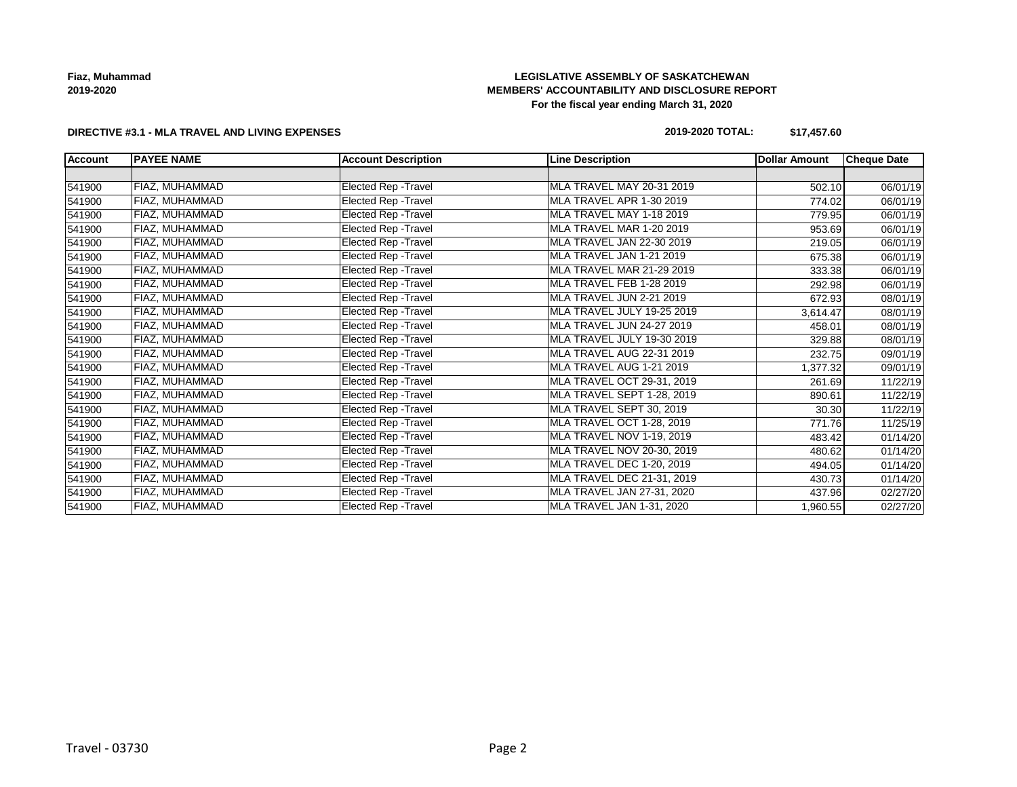**Fiaz, Muhammad 2019-2020**

## **LEGISLATIVE ASSEMBLY OF SASKATCHEWAN MEMBERS' ACCOUNTABILITY AND DISCLOSURE REPORT For the fiscal year ending March 31, 2020**

#### **DIRECTIVE #3.1 - MLA TRAVEL AND LIVING EXPENSES**

## **2019-2020 TOTAL: \$17,457.60**

| <b>Account</b> | <b>PAYEE NAME</b> | <b>Account Description</b>  | <b>Line Description</b>          | Dollar Amount | <b>Cheque Date</b> |
|----------------|-------------------|-----------------------------|----------------------------------|---------------|--------------------|
|                |                   |                             |                                  |               |                    |
| 541900         | FIAZ, MUHAMMAD    | Elected Rep - Travel        | MLA TRAVEL MAY 20-31 2019        | 502.10        | 06/01/19           |
| 541900         | FIAZ, MUHAMMAD    | Elected Rep - Travel        | MLA TRAVEL APR 1-30 2019         | 774.02        | 06/01/19           |
| 541900         | FIAZ, MUHAMMAD    | Elected Rep - Travel        | MLA TRAVEL MAY 1-18 2019         | 779.95        | 06/01/19           |
| 541900         | FIAZ, MUHAMMAD    | Elected Rep - Travel        | MLA TRAVEL MAR 1-20 2019         | 953.69        | 06/01/19           |
| 541900         | FIAZ, MUHAMMAD    | Elected Rep - Travel        | MLA TRAVEL JAN 22-30 2019        | 219.05        | 06/01/19           |
| 541900         | FIAZ, MUHAMMAD    | <b>Elected Rep - Travel</b> | MLA TRAVEL JAN 1-21 2019         | 675.38        | 06/01/19           |
| 541900         | FIAZ, MUHAMMAD    | Elected Rep - Travel        | MLA TRAVEL MAR 21-29 2019        | 333.38        | 06/01/19           |
| 541900         | FIAZ, MUHAMMAD    | Elected Rep - Travel        | MLA TRAVEL FEB 1-28 2019         | 292.98        | 06/01/19           |
| 541900         | FIAZ, MUHAMMAD    | Elected Rep - Travel        | MLA TRAVEL JUN 2-21 2019         | 672.93        | 08/01/19           |
| 541900         | FIAZ, MUHAMMAD    | Elected Rep - Travel        | MLA TRAVEL JULY 19-25 2019       | 3,614.47      | 08/01/19           |
| 541900         | FIAZ, MUHAMMAD    | Elected Rep - Travel        | <b>MLA TRAVEL JUN 24-27 2019</b> | 458.01        | 08/01/19           |
| 541900         | FIAZ, MUHAMMAD    | Elected Rep - Travel        | MLA TRAVEL JULY 19-30 2019       | 329.88        | 08/01/19           |
| 541900         | FIAZ, MUHAMMAD    | Elected Rep - Travel        | MLA TRAVEL AUG 22-31 2019        | 232.75        | 09/01/19           |
| 541900         | FIAZ, MUHAMMAD    | Elected Rep - Travel        | MLA TRAVEL AUG 1-21 2019         | 1,377.32      | 09/01/19           |
| 541900         | FIAZ, MUHAMMAD    | Elected Rep - Travel        | MLA TRAVEL OCT 29-31, 2019       | 261.69        | 11/22/19           |
| 541900         | FIAZ, MUHAMMAD    | Elected Rep - Travel        | MLA TRAVEL SEPT 1-28, 2019       | 890.61        | 11/22/19           |
| 541900         | FIAZ, MUHAMMAD    | Elected Rep - Travel        | MLA TRAVEL SEPT 30, 2019         | 30.30         | 11/22/19           |
| 541900         | FIAZ, MUHAMMAD    | Elected Rep - Travel        | MLA TRAVEL OCT 1-28, 2019        | 771.76        | 11/25/19           |
| 541900         | FIAZ, MUHAMMAD    | Elected Rep - Travel        | MLA TRAVEL NOV 1-19, 2019        | 483.42        | 01/14/20           |
| 541900         | FIAZ, MUHAMMAD    | Elected Rep - Travel        | MLA TRAVEL NOV 20-30, 2019       | 480.62        | 01/14/20           |
| 541900         | FIAZ, MUHAMMAD    | Elected Rep - Travel        | <b>MLA TRAVEL DEC 1-20, 2019</b> | 494.05        | 01/14/20           |
| 541900         | FIAZ, MUHAMMAD    | Elected Rep - Travel        | MLA TRAVEL DEC 21-31, 2019       | 430.73        | 01/14/20           |
| 541900         | FIAZ, MUHAMMAD    | Elected Rep - Travel        | MLA TRAVEL JAN 27-31, 2020       | 437.96        | 02/27/20           |
| 541900         | FIAZ, MUHAMMAD    | Elected Rep - Travel        | MLA TRAVEL JAN 1-31, 2020        | 1,960.55      | 02/27/20           |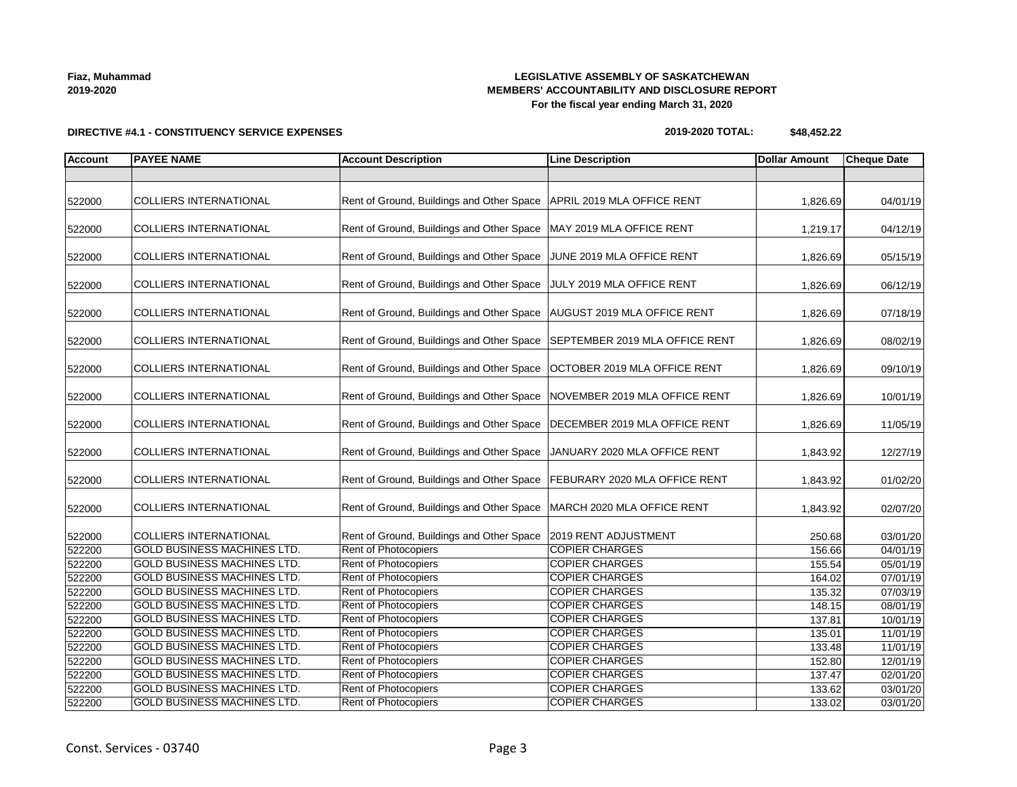| DIRECTIVE #4.1 - CONSTITUENCY SERVICE EXPENSES |  |
|------------------------------------------------|--|

# **LEGISLATIVE ASSEMBLY OF SASKATCHEWAN MEMBERS' ACCOUNTABILITY AND DISCLOSURE REPORT For the fiscal year ending March 31, 2020**

**2019-2020 TOTAL: \$48,452.22**

| <b>Account</b> | <b>PAYEE NAME</b>                  | <b>Account Description</b>                | <b>Line Description</b>        | <b>Dollar Amount</b> | <b>Cheque Date</b> |
|----------------|------------------------------------|-------------------------------------------|--------------------------------|----------------------|--------------------|
|                |                                    |                                           |                                |                      |                    |
|                |                                    |                                           |                                |                      |                    |
| 522000         | <b>COLLIERS INTERNATIONAL</b>      | Rent of Ground, Buildings and Other Space | APRIL 2019 MLA OFFICE RENT     | 1,826.69             | 04/01/19           |
| 522000         | <b>COLLIERS INTERNATIONAL</b>      | Rent of Ground, Buildings and Other Space | MAY 2019 MLA OFFICE RENT       | 1,219.17             | 04/12/19           |
|                |                                    |                                           |                                |                      |                    |
| 522000         | <b>COLLIERS INTERNATIONAL</b>      | Rent of Ground, Buildings and Other Space | JUNE 2019 MLA OFFICE RENT      | 1,826.69             | 05/15/19           |
| 522000         | <b>COLLIERS INTERNATIONAL</b>      | Rent of Ground, Buildings and Other Space | JULY 2019 MLA OFFICE RENT      | 1,826.69             | 06/12/19           |
| 522000         | <b>COLLIERS INTERNATIONAL</b>      | Rent of Ground, Buildings and Other Space | AUGUST 2019 MLA OFFICE RENT    | 1,826.69             | 07/18/19           |
| 522000         | <b>COLLIERS INTERNATIONAL</b>      | Rent of Ground, Buildings and Other Space | SEPTEMBER 2019 MLA OFFICE RENT | 1,826.69             | 08/02/19           |
| 522000         | <b>COLLIERS INTERNATIONAL</b>      | Rent of Ground, Buildings and Other Space | OCTOBER 2019 MLA OFFICE RENT   | 1,826.69             | 09/10/19           |
| 522000         | COLLIERS INTERNATIONAL             | Rent of Ground, Buildings and Other Space | NOVEMBER 2019 MLA OFFICE RENT  | 1,826.69             | 10/01/19           |
| 522000         | <b>COLLIERS INTERNATIONAL</b>      | Rent of Ground, Buildings and Other Space | DECEMBER 2019 MLA OFFICE RENT  | 1,826.69             | 11/05/19           |
| 522000         | <b>COLLIERS INTERNATIONAL</b>      | Rent of Ground, Buildings and Other Space | JANUARY 2020 MLA OFFICE RENT   | 1,843.92             | 12/27/19           |
| 522000         | <b>COLLIERS INTERNATIONAL</b>      | Rent of Ground, Buildings and Other Space | FEBURARY 2020 MLA OFFICE RENT  | 1,843.92             | 01/02/20           |
| 522000         | <b>COLLIERS INTERNATIONAL</b>      | Rent of Ground, Buildings and Other Space | MARCH 2020 MLA OFFICE RENT     | 1,843.92             | 02/07/20           |
| 522000         | <b>COLLIERS INTERNATIONAL</b>      | Rent of Ground, Buildings and Other Space | 2019 RENT ADJUSTMENT           | 250.68               | 03/01/20           |
| 522200         | <b>GOLD BUSINESS MACHINES LTD.</b> | Rent of Photocopiers                      | <b>COPIER CHARGES</b>          | 156.66               | 04/01/19           |
| 522200         | GOLD BUSINESS MACHINES LTD.        | Rent of Photocopiers                      | <b>COPIER CHARGES</b>          | 155.54               | 05/01/19           |
| 522200         | <b>GOLD BUSINESS MACHINES LTD.</b> | Rent of Photocopiers                      | <b>COPIER CHARGES</b>          | 164.02               | 07/01/19           |
| 522200         | <b>GOLD BUSINESS MACHINES LTD.</b> | Rent of Photocopiers                      | <b>COPIER CHARGES</b>          | 135.32               | 07/03/19           |
| 522200         | <b>GOLD BUSINESS MACHINES LTD.</b> | Rent of Photocopiers                      | <b>COPIER CHARGES</b>          | 148.15               | 08/01/19           |
| 522200         | GOLD BUSINESS MACHINES LTD.        | <b>Rent of Photocopiers</b>               | <b>COPIER CHARGES</b>          | 137.81               | 10/01/19           |
| 522200         | <b>GOLD BUSINESS MACHINES LTD.</b> | Rent of Photocopiers                      | <b>COPIER CHARGES</b>          | 135.01               | 11/01/19           |
| 522200         | <b>GOLD BUSINESS MACHINES LTD.</b> | <b>Rent of Photocopiers</b>               | <b>COPIER CHARGES</b>          | 133.48               | 11/01/19           |
| 522200         | <b>GOLD BUSINESS MACHINES LTD.</b> | Rent of Photocopiers                      | <b>COPIER CHARGES</b>          | 152.80               | 12/01/19           |
| 522200         | <b>GOLD BUSINESS MACHINES LTD.</b> | Rent of Photocopiers                      | <b>COPIER CHARGES</b>          | 137.47               | 02/01/20           |
| 522200         | GOLD BUSINESS MACHINES LTD.        | Rent of Photocopiers                      | <b>COPIER CHARGES</b>          | 133.62               | 03/01/20           |
| 522200         | GOLD BUSINESS MACHINES LTD.        | Rent of Photocopiers                      | <b>COPIER CHARGES</b>          | 133.02               | 03/01/20           |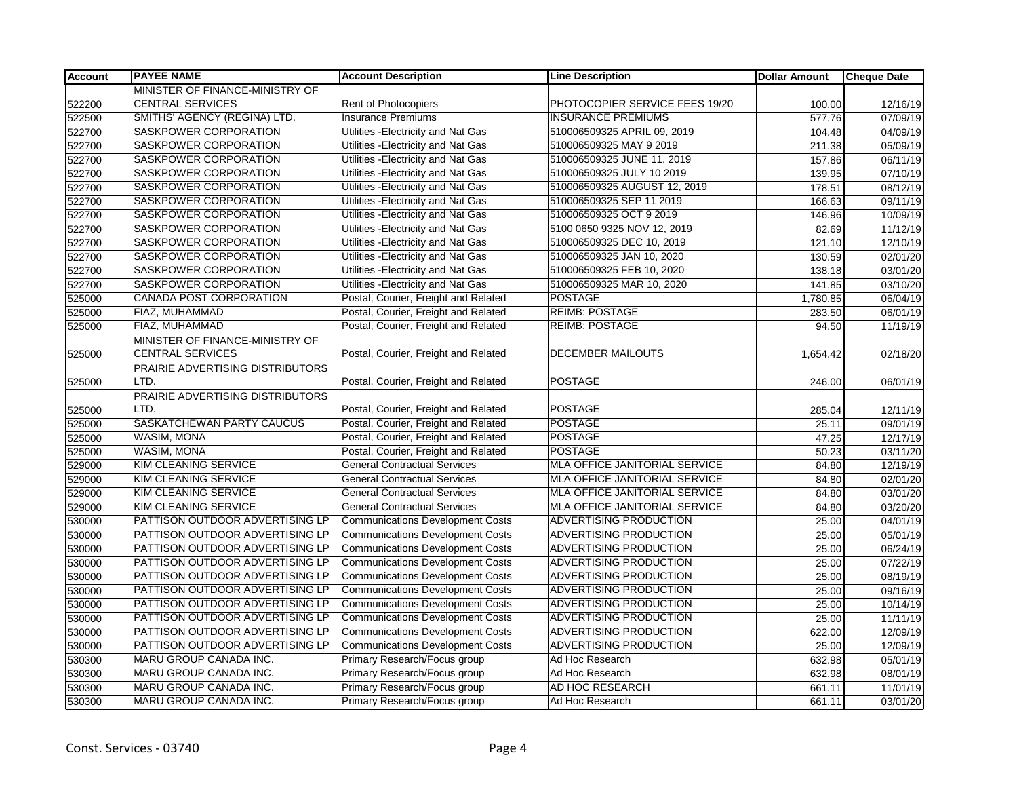| <b>Account</b> | <b>PAYEE NAME</b>                | <b>Account Description</b>              | <b>Line Description</b>              | <b>Dollar Amount</b> | <b>Cheque Date</b> |
|----------------|----------------------------------|-----------------------------------------|--------------------------------------|----------------------|--------------------|
|                | MINISTER OF FINANCE-MINISTRY OF  |                                         |                                      |                      |                    |
| 522200         | <b>CENTRAL SERVICES</b>          | Rent of Photocopiers                    | PHOTOCOPIER SERVICE FEES 19/20       | 100.00               | 12/16/19           |
| 522500         | SMITHS' AGENCY (REGINA) LTD.     | <b>Insurance Premiums</b>               | <b>INSURANCE PREMIUMS</b>            | 577.76               | 07/09/19           |
| 522700         | SASKPOWER CORPORATION            | Utilities - Electricity and Nat Gas     | 510006509325 APRIL 09, 2019          | 104.48               | 04/09/19           |
| 522700         | SASKPOWER CORPORATION            | Utilities - Electricity and Nat Gas     | 510006509325 MAY 9 2019              | 211.38               | 05/09/19           |
| 522700         | SASKPOWER CORPORATION            | Utilities - Electricity and Nat Gas     | 510006509325 JUNE 11, 2019           | 157.86               | 06/11/19           |
| 522700         | SASKPOWER CORPORATION            | Utilities - Electricity and Nat Gas     | 510006509325 JULY 10 2019            | 139.95               | 07/10/19           |
| 522700         | SASKPOWER CORPORATION            | Utilities - Electricity and Nat Gas     | 510006509325 AUGUST 12, 2019         | 178.51               | 08/12/19           |
| 522700         | SASKPOWER CORPORATION            | Utilities - Electricity and Nat Gas     | 510006509325 SEP 11 2019             | 166.63               | 09/11/19           |
| 522700         | SASKPOWER CORPORATION            | Utilities - Electricity and Nat Gas     | 510006509325 OCT 9 2019              | 146.96               | 10/09/19           |
| 522700         | SASKPOWER CORPORATION            | Utilities - Electricity and Nat Gas     | 5100 0650 9325 NOV 12, 2019          | 82.69                | 11/12/19           |
| 522700         | SASKPOWER CORPORATION            | Utilities - Electricity and Nat Gas     | 510006509325 DEC 10, 2019            | 121.10               | 12/10/19           |
| 522700         | SASKPOWER CORPORATION            | Utilities - Electricity and Nat Gas     | 510006509325 JAN 10, 2020            | 130.59               | 02/01/20           |
| 522700         | SASKPOWER CORPORATION            | Utilities - Electricity and Nat Gas     | 510006509325 FEB 10, 2020            | 138.18               | 03/01/20           |
| 522700         | SASKPOWER CORPORATION            | Utilities - Electricity and Nat Gas     | 510006509325 MAR 10, 2020            | 141.85               | 03/10/20           |
| 525000         | <b>CANADA POST CORPORATION</b>   | Postal, Courier, Freight and Related    | <b>POSTAGE</b>                       | 1,780.85             | 06/04/19           |
| 525000         | FIAZ, MUHAMMAD                   | Postal, Courier, Freight and Related    | <b>REIMB: POSTAGE</b>                | 283.50               | 06/01/19           |
| 525000         | FIAZ, MUHAMMAD                   | Postal, Courier, Freight and Related    | <b>REIMB: POSTAGE</b>                | 94.50                | 11/19/19           |
|                | MINISTER OF FINANCE-MINISTRY OF  |                                         |                                      |                      |                    |
| 525000         | <b>CENTRAL SERVICES</b>          | Postal, Courier, Freight and Related    | DECEMBER MAILOUTS                    | 1,654.42             | 02/18/20           |
|                | PRAIRIE ADVERTISING DISTRIBUTORS |                                         |                                      |                      |                    |
| 525000         | LTD.                             | Postal, Courier, Freight and Related    | <b>POSTAGE</b>                       | 246.00               | 06/01/19           |
|                | PRAIRIE ADVERTISING DISTRIBUTORS |                                         |                                      |                      |                    |
| 525000         | LTD.                             | Postal, Courier, Freight and Related    | <b>POSTAGE</b>                       | 285.04               | 12/11/19           |
| 525000         | SASKATCHEWAN PARTY CAUCUS        | Postal, Courier, Freight and Related    | <b>POSTAGE</b>                       | 25.11                | 09/01/19           |
| 525000         | <b>WASIM, MONA</b>               | Postal, Courier, Freight and Related    | <b>POSTAGE</b>                       | 47.25                | 12/17/19           |
| 525000         | <b>WASIM, MONA</b>               | Postal, Courier, Freight and Related    | <b>POSTAGE</b>                       | 50.23                | 03/11/20           |
| 529000         | <b>KIM CLEANING SERVICE</b>      | <b>General Contractual Services</b>     | <b>MLA OFFICE JANITORIAL SERVICE</b> | 84.80                | 12/19/19           |
| 529000         | KIM CLEANING SERVICE             | <b>General Contractual Services</b>     | <b>MLA OFFICE JANITORIAL SERVICE</b> | 84.80                | 02/01/20           |
| 529000         | <b>KIM CLEANING SERVICE</b>      | <b>General Contractual Services</b>     | MLA OFFICE JANITORIAL SERVICE        | 84.80                | 03/01/20           |
| 529000         | <b>KIM CLEANING SERVICE</b>      | <b>General Contractual Services</b>     | MLA OFFICE JANITORIAL SERVICE        | 84.80                | 03/20/20           |
| 530000         | PATTISON OUTDOOR ADVERTISING LP  | <b>Communications Development Costs</b> | ADVERTISING PRODUCTION               | 25.00                | 04/01/19           |
| 530000         | PATTISON OUTDOOR ADVERTISING LP  | <b>Communications Development Costs</b> | <b>ADVERTISING PRODUCTION</b>        | 25.00                | 05/01/19           |
| 530000         | PATTISON OUTDOOR ADVERTISING LP  | <b>Communications Development Costs</b> | ADVERTISING PRODUCTION               | 25.00                | 06/24/19           |
| 530000         | PATTISON OUTDOOR ADVERTISING LP  | <b>Communications Development Costs</b> | <b>ADVERTISING PRODUCTION</b>        | 25.00                | 07/22/19           |
| 530000         | PATTISON OUTDOOR ADVERTISING LP  | <b>Communications Development Costs</b> | ADVERTISING PRODUCTION               | 25.00                | 08/19/19           |
| 530000         | PATTISON OUTDOOR ADVERTISING LP  | <b>Communications Development Costs</b> | <b>ADVERTISING PRODUCTION</b>        | 25.00                | 09/16/19           |
| 530000         | PATTISON OUTDOOR ADVERTISING LP  | <b>Communications Development Costs</b> | <b>ADVERTISING PRODUCTION</b>        | 25.00                | 10/14/19           |
| 530000         | PATTISON OUTDOOR ADVERTISING LP  | <b>Communications Development Costs</b> | <b>ADVERTISING PRODUCTION</b>        | 25.00                | 11/11/19           |
| 530000         | PATTISON OUTDOOR ADVERTISING LP  | <b>Communications Development Costs</b> | <b>ADVERTISING PRODUCTION</b>        | 622.00               | 12/09/19           |
| 530000         | PATTISON OUTDOOR ADVERTISING LP  | <b>Communications Development Costs</b> | ADVERTISING PRODUCTION               | 25.00                | 12/09/19           |
| 530300         | MARU GROUP CANADA INC.           | Primary Research/Focus group            | Ad Hoc Research                      | 632.98               | 05/01/19           |
| 530300         | MARU GROUP CANADA INC.           | Primary Research/Focus group            | Ad Hoc Research                      | 632.98               | 08/01/19           |
| 530300         | MARU GROUP CANADA INC.           | Primary Research/Focus group            | AD HOC RESEARCH                      | 661.11               | 11/01/19           |
| 530300         | MARU GROUP CANADA INC.           | Primary Research/Focus group            | Ad Hoc Research                      | 661.11               | 03/01/20           |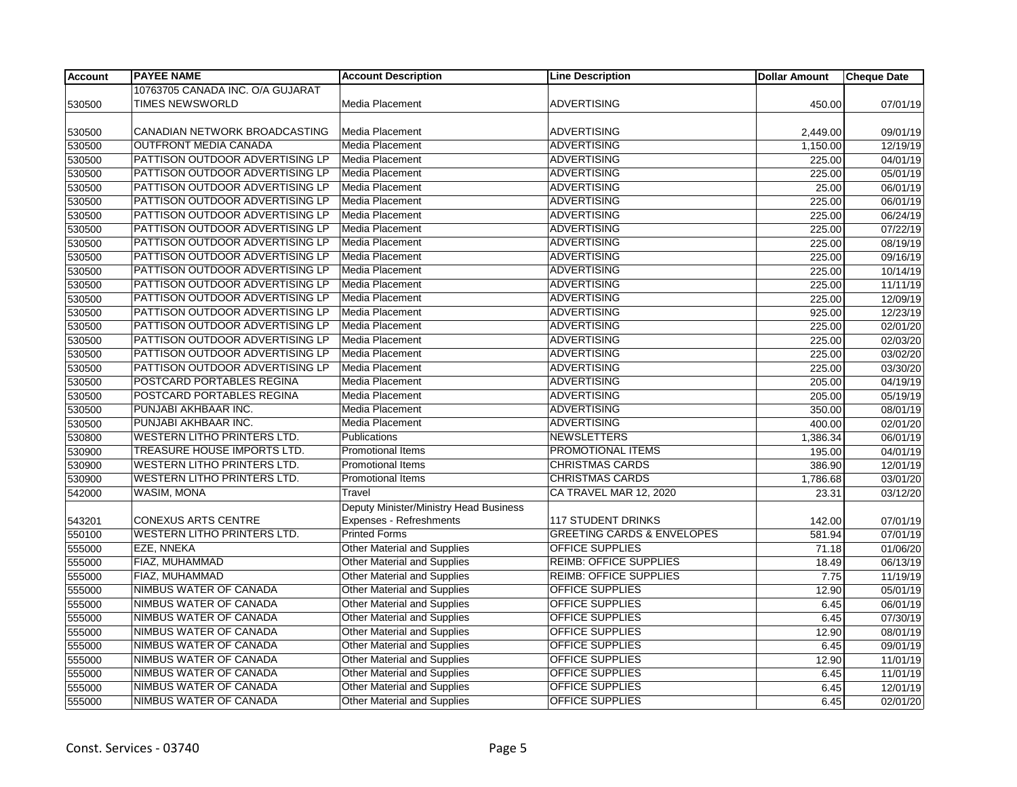| <b>Account</b> | <b>PAYEE NAME</b>                  | <b>Account Description</b>             | <b>Line Description</b>               | <b>Dollar Amount</b> | <b>Cheque Date</b> |
|----------------|------------------------------------|----------------------------------------|---------------------------------------|----------------------|--------------------|
|                | 10763705 CANADA INC. O/A GUJARAT   |                                        |                                       |                      |                    |
| 530500         | <b>TIMES NEWSWORLD</b>             | Media Placement                        | <b>ADVERTISING</b>                    | 450.00               | 07/01/19           |
|                |                                    |                                        |                                       |                      |                    |
| 530500         | CANADIAN NETWORK BROADCASTING      | Media Placement                        | <b>ADVERTISING</b>                    | 2,449.00             | 09/01/19           |
| 530500         | <b>OUTFRONT MEDIA CANADA</b>       | Media Placement                        | <b>ADVERTISING</b>                    | 1,150.00             | 12/19/19           |
| 530500         | PATTISON OUTDOOR ADVERTISING LP    | <b>Media Placement</b>                 | <b>ADVERTISING</b>                    | 225.00               | 04/01/19           |
| 530500         | PATTISON OUTDOOR ADVERTISING LP    | Media Placement                        | <b>ADVERTISING</b>                    | 225.00               | 05/01/19           |
| 530500         | PATTISON OUTDOOR ADVERTISING LP    | Media Placement                        | <b>ADVERTISING</b>                    | 25.00                | 06/01/19           |
| 530500         | PATTISON OUTDOOR ADVERTISING LP    | Media Placement                        | <b>ADVERTISING</b>                    | 225.00               | 06/01/19           |
| 530500         | PATTISON OUTDOOR ADVERTISING LP    | <b>Media Placement</b>                 | <b>ADVERTISING</b>                    | 225.00               | 06/24/19           |
| 530500         | PATTISON OUTDOOR ADVERTISING LP    | <b>Media Placement</b>                 | <b>ADVERTISING</b>                    | 225.00               | 07/22/19           |
| 530500         | PATTISON OUTDOOR ADVERTISING LP    | Media Placement                        | <b>ADVERTISING</b>                    | 225.00               | 08/19/19           |
| 530500         | PATTISON OUTDOOR ADVERTISING LP    | Media Placement                        | <b>ADVERTISING</b>                    | 225.00               | 09/16/19           |
| 530500         | PATTISON OUTDOOR ADVERTISING LP    | Media Placement                        | <b>ADVERTISING</b>                    | 225.00               | 10/14/19           |
| 530500         | PATTISON OUTDOOR ADVERTISING LP    | Media Placement                        | <b>ADVERTISING</b>                    | 225.00               | 11/11/19           |
| 530500         | PATTISON OUTDOOR ADVERTISING LP    | <b>Media Placement</b>                 | <b>ADVERTISING</b>                    | 225.00               | 12/09/19           |
| 530500         | PATTISON OUTDOOR ADVERTISING LP    | Media Placement                        | <b>ADVERTISING</b>                    | 925.00               | 12/23/19           |
| 530500         | PATTISON OUTDOOR ADVERTISING LP    | Media Placement                        | <b>ADVERTISING</b>                    | 225.00               | 02/01/20           |
| 530500         | PATTISON OUTDOOR ADVERTISING LP    | Media Placement                        | <b>ADVERTISING</b>                    | 225.00               | 02/03/20           |
| 530500         | PATTISON OUTDOOR ADVERTISING LP    | <b>Media Placement</b>                 | <b>ADVERTISING</b>                    | 225.00               | 03/02/20           |
| 530500         | PATTISON OUTDOOR ADVERTISING LP    | Media Placement                        | <b>ADVERTISING</b>                    | 225.00               | 03/30/20           |
| 530500         | POSTCARD PORTABLES REGINA          | Media Placement                        | <b>ADVERTISING</b>                    | 205.00               | 04/19/19           |
| 530500         | POSTCARD PORTABLES REGINA          | Media Placement                        | <b>ADVERTISING</b>                    | 205.00               | 05/19/19           |
| 530500         | PUNJABI AKHBAAR INC.               | Media Placement                        | <b>ADVERTISING</b>                    | 350.00               | 08/01/19           |
| 530500         | PUNJABI AKHBAAR INC.               | Media Placement                        | <b>ADVERTISING</b>                    | 400.00               | 02/01/20           |
| 530800         | <b>WESTERN LITHO PRINTERS LTD.</b> | Publications                           | <b>NEWSLETTERS</b>                    | 1,386.34             | 06/01/19           |
| 530900         | TREASURE HOUSE IMPORTS LTD.        | Promotional Items                      | PROMOTIONAL ITEMS                     | 195.00               | 04/01/19           |
| 530900         | <b>WESTERN LITHO PRINTERS LTD.</b> | <b>Promotional Items</b>               | <b>CHRISTMAS CARDS</b>                | 386.90               | 12/01/19           |
| 530900         | <b>WESTERN LITHO PRINTERS LTD.</b> | Promotional Items                      | <b>CHRISTMAS CARDS</b>                | 1,786.68             | 03/01/20           |
| 542000         | <b>WASIM, MONA</b>                 | Travel                                 | CA TRAVEL MAR 12, 2020                | 23.31                | 03/12/20           |
|                |                                    | Deputy Minister/Ministry Head Business |                                       |                      |                    |
| 543201         | <b>CONEXUS ARTS CENTRE</b>         | Expenses - Refreshments                | <b>117 STUDENT DRINKS</b>             | 142.00               | 07/01/19           |
| 550100         | <b>WESTERN LITHO PRINTERS LTD.</b> | <b>Printed Forms</b>                   | <b>GREETING CARDS &amp; ENVELOPES</b> | 581.94               | 07/01/19           |
| 555000         | EZE, NNEKA                         | <b>Other Material and Supplies</b>     | <b>OFFICE SUPPLIES</b>                | 71.18                | 01/06/20           |
| 555000         | FIAZ, MUHAMMAD                     | <b>Other Material and Supplies</b>     | <b>REIMB: OFFICE SUPPLIES</b>         | 18.49                | 06/13/19           |
| 555000         | FIAZ, MUHAMMAD                     | Other Material and Supplies            | <b>REIMB: OFFICE SUPPLIES</b>         | 7.75                 | 11/19/19           |
| 555000         | NIMBUS WATER OF CANADA             | <b>Other Material and Supplies</b>     | <b>OFFICE SUPPLIES</b>                | 12.90                | 05/01/19           |
| 555000         | NIMBUS WATER OF CANADA             | <b>Other Material and Supplies</b>     | <b>OFFICE SUPPLIES</b>                | 6.45                 | 06/01/19           |
| 555000         | NIMBUS WATER OF CANADA             | <b>Other Material and Supplies</b>     | OFFICE SUPPLIES                       | 6.45                 | 07/30/19           |
| 555000         | NIMBUS WATER OF CANADA             | Other Material and Supplies            | <b>OFFICE SUPPLIES</b>                | 12.90                | 08/01/19           |
| 555000         | NIMBUS WATER OF CANADA             | <b>Other Material and Supplies</b>     | <b>OFFICE SUPPLIES</b>                | 6.45                 | 09/01/19           |
| 555000         | NIMBUS WATER OF CANADA             | Other Material and Supplies            | <b>OFFICE SUPPLIES</b>                | 12.90                | 11/01/19           |
| 555000         | NIMBUS WATER OF CANADA             | <b>Other Material and Supplies</b>     | <b>OFFICE SUPPLIES</b>                | 6.45                 | 11/01/19           |
| 555000         | NIMBUS WATER OF CANADA             | Other Material and Supplies            | <b>OFFICE SUPPLIES</b>                | 6.45                 | 12/01/19           |
| 555000         | NIMBUS WATER OF CANADA             | Other Material and Supplies            | <b>OFFICE SUPPLIES</b>                | 6.45                 | 02/01/20           |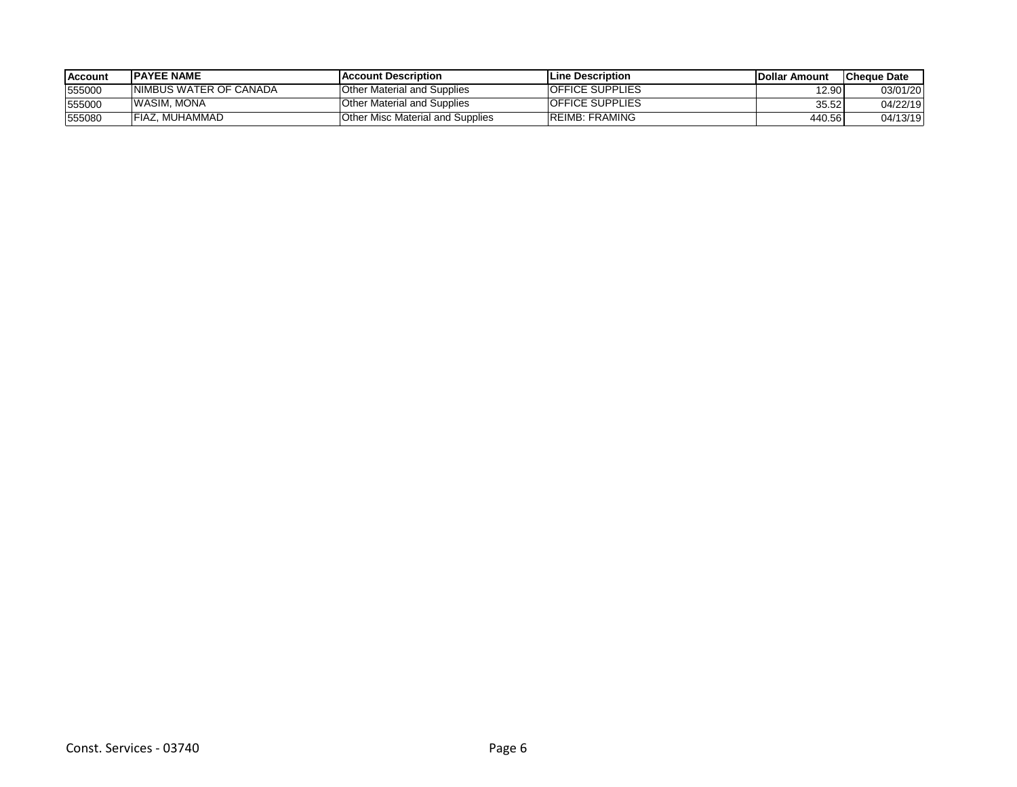| <b>Account</b> | <b>IPAYEE NAME</b>      | <b>IAccount Description</b>             | <b>Line Description</b> | <b>IDollar Amount</b> | <b>ICheque Date</b> |
|----------------|-------------------------|-----------------------------------------|-------------------------|-----------------------|---------------------|
| 555000         | INIMBUS WATER OF CANADA | Other Material and Supplies             | <b>OFFICE SUPPLIES</b>  | 12.90                 | 03/01/20            |
| 555000         | <b>WASIM, MONA</b>      | <b>Other Material and Supplies</b>      | <b>OFFICE SUPPLIES</b>  | 35.52                 | 04/22/19            |
| 555080         | FIAZ. MUHAMMAD          | <b>Other Misc Material and Supplies</b> | <b>IREIMB: FRAMING</b>  | 440.56                | 04/13/19            |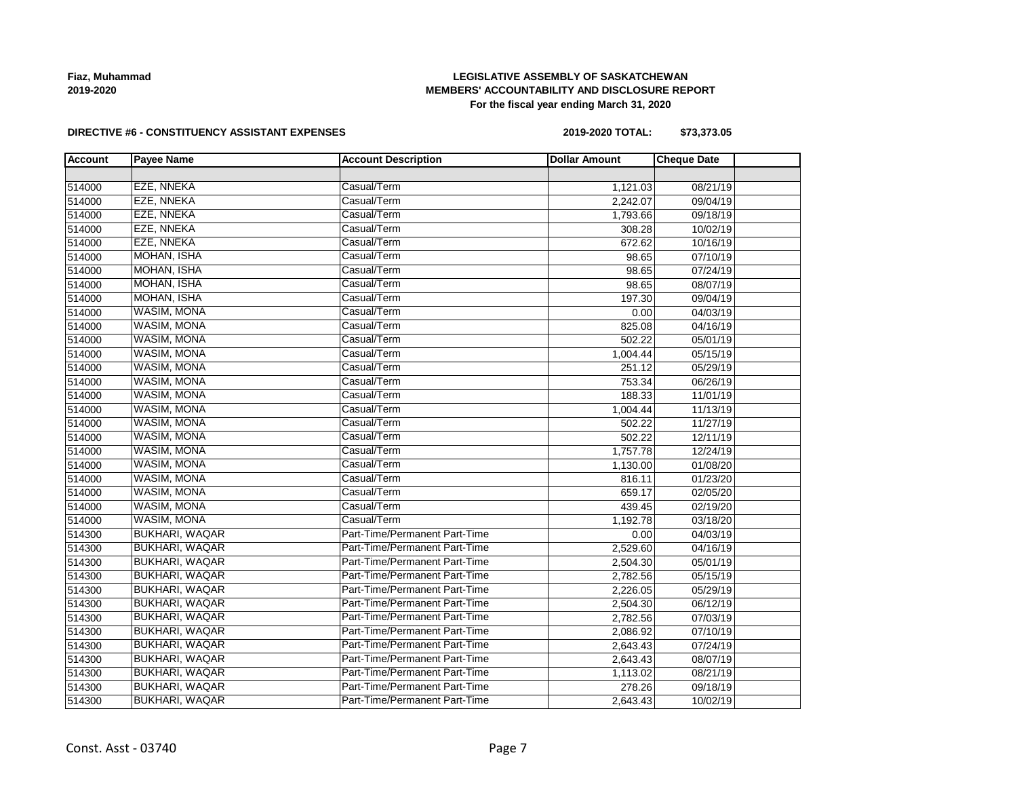**Fiaz, Muhammad 2019-2020**

## **LEGISLATIVE ASSEMBLY OF SASKATCHEWAN MEMBERS' ACCOUNTABILITY AND DISCLOSURE REPORT For the fiscal year ending March 31, 2020**

#### **DIRECTIVE #6 - CONSTITUENCY ASSISTANT EXPENSES**

**2019-2020 TOTAL: \$73,373.05**

| <b>Account</b> | <b>Payee Name</b>     | <b>Account Description</b>    | <b>Dollar Amount</b> | <b>Cheque Date</b> |  |
|----------------|-----------------------|-------------------------------|----------------------|--------------------|--|
|                |                       |                               |                      |                    |  |
| 514000         | <b>EZE, NNEKA</b>     | Casual/Term                   | 1,121.03             | 08/21/19           |  |
| 514000         | <b>EZE, NNEKA</b>     | Casual/Term                   | 2,242.07             | 09/04/19           |  |
| 514000         | <b>EZE, NNEKA</b>     | Casual/Term                   | 1,793.66             | 09/18/19           |  |
| 514000         | <b>EZE, NNEKA</b>     | Casual/Term                   | 308.28               | 10/02/19           |  |
| 514000         | <b>EZE, NNEKA</b>     | Casual/Term                   | 672.62               | 10/16/19           |  |
| 514000         | <b>MOHAN, ISHA</b>    | Casual/Term                   | 98.65                | 07/10/19           |  |
| 514000         | <b>MOHAN, ISHA</b>    | Casual/Term                   | 98.65                | 07/24/19           |  |
| 514000         | <b>MOHAN, ISHA</b>    | Casual/Term                   | 98.65                | 08/07/19           |  |
| 514000         | <b>MOHAN, ISHA</b>    | Casual/Term                   | 197.30               | 09/04/19           |  |
| 514000         | WASIM, MONA           | Casual/Term                   | 0.00                 | 04/03/19           |  |
| 514000         | <b>WASIM, MONA</b>    | Casual/Term                   | 825.08               | 04/16/19           |  |
| 514000         | <b>WASIM, MONA</b>    | Casual/Term                   | 502.22               | 05/01/19           |  |
| 514000         | <b>WASIM, MONA</b>    | Casual/Term                   | 1,004.44             | 05/15/19           |  |
| 514000         | WASIM, MONA           | Casual/Term                   | 251.12               | 05/29/19           |  |
| 514000         | <b>WASIM, MONA</b>    | Casual/Term                   | 753.34               | 06/26/19           |  |
| 514000         | <b>WASIM, MONA</b>    | Casual/Term                   | 188.33               | 11/01/19           |  |
| 514000         | <b>WASIM, MONA</b>    | Casual/Term                   | 1,004.44             | 11/13/19           |  |
| 514000         | <b>WASIM, MONA</b>    | Casual/Term                   | 502.22               | 11/27/19           |  |
| 514000         | <b>WASIM, MONA</b>    | Casual/Term                   | 502.22               | 12/11/19           |  |
| 514000         | WASIM, MONA           | Casual/Term                   | 1,757.78             | 12/24/19           |  |
| 514000         | <b>WASIM, MONA</b>    | Casual/Term                   | 1,130.00             | 01/08/20           |  |
| 514000         | <b>WASIM, MONA</b>    | Casual/Term                   | 816.11               | 01/23/20           |  |
| 514000         | <b>WASIM, MONA</b>    | Casual/Term                   | 659.17               | 02/05/20           |  |
| 514000         | <b>WASIM, MONA</b>    | Casual/Term                   | 439.45               | 02/19/20           |  |
| 514000         | WASIM, MONA           | Casual/Term                   | 1,192.78             | 03/18/20           |  |
| 514300         | <b>BUKHARI, WAQAR</b> | Part-Time/Permanent Part-Time | 0.00                 | 04/03/19           |  |
| 514300         | <b>BUKHARI, WAQAR</b> | Part-Time/Permanent Part-Time | 2,529.60             | 04/16/19           |  |
| 514300         | BUKHARI, WAQAR        | Part-Time/Permanent Part-Time | 2,504.30             | 05/01/19           |  |
| 514300         | <b>BUKHARI, WAQAR</b> | Part-Time/Permanent Part-Time | 2,782.56             | 05/15/19           |  |
| 514300         | <b>BUKHARI, WAQAR</b> | Part-Time/Permanent Part-Time | 2,226.05             | 05/29/19           |  |
| 514300         | <b>BUKHARI, WAQAR</b> | Part-Time/Permanent Part-Time | 2,504.30             | 06/12/19           |  |
| 514300         | <b>BUKHARI, WAQAR</b> | Part-Time/Permanent Part-Time | 2,782.56             | 07/03/19           |  |
| 514300         | BUKHARI, WAQAR        | Part-Time/Permanent Part-Time | 2,086.92             | 07/10/19           |  |
| 514300         | BUKHARI, WAQAR        | Part-Time/Permanent Part-Time | 2,643.43             | 07/24/19           |  |
| 514300         | BUKHARI, WAQAR        | Part-Time/Permanent Part-Time | 2,643.43             | 08/07/19           |  |
| 514300         | <b>BUKHARI, WAQAR</b> | Part-Time/Permanent Part-Time | 1,113.02             | 08/21/19           |  |
| 514300         | <b>BUKHARI, WAQAR</b> | Part-Time/Permanent Part-Time | 278.26               | 09/18/19           |  |
| 514300         | <b>BUKHARI, WAQAR</b> | Part-Time/Permanent Part-Time | 2,643.43             | 10/02/19           |  |